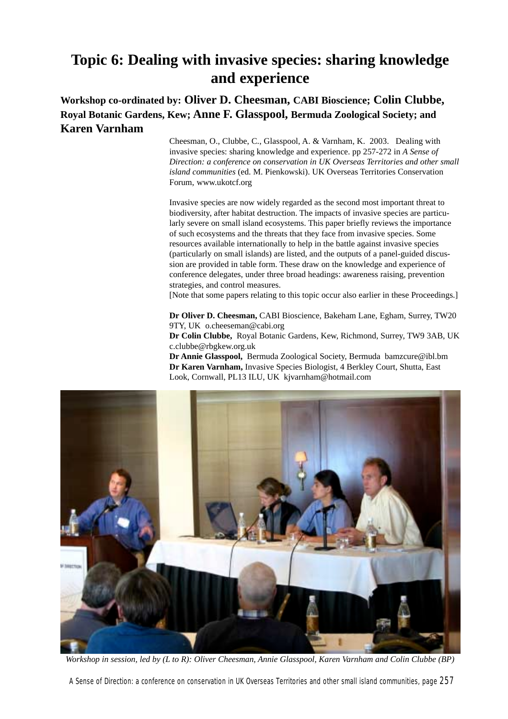### **Topic 6: Dealing with invasive species: sharing knowledge and experience**

### **Workshop co-ordinated by: Oliver D. Cheesman, CABI Bioscience; Colin Clubbe, Royal Botanic Gardens, Kew; Anne F. Glasspool, Bermuda Zoological Society; and Karen Varnham**

Cheesman, O., Clubbe, C., Glasspool, A. & Varnham, K. 2003. Dealing with invasive species: sharing knowledge and experience. pp 257-272 in *A Sense of Direction: a conference on conservation in UK Overseas Territories and other small island communities* (ed. M. Pienkowski). UK Overseas Territories Conservation Forum, www.ukotcf.org

Invasive species are now widely regarded as the second most important threat to biodiversity, after habitat destruction. The impacts of invasive species are particularly severe on small island ecosystems. This paper briefly reviews the importance of such ecosystems and the threats that they face from invasive species. Some resources available internationally to help in the battle against invasive species (particularly on small islands) are listed, and the outputs of a panel-guided discussion are provided in table form. These draw on the knowledge and experience of conference delegates, under three broad headings: awareness raising, prevention strategies, and control measures.

[Note that some papers relating to this topic occur also earlier in these Proceedings.]

**Dr Oliver D. Cheesman,** CABI Bioscience, Bakeham Lane, Egham, Surrey, TW20 9TY, UK o.cheeseman@cabi.org

**Dr Colin Clubbe,** Royal Botanic Gardens, Kew, Richmond, Surrey, TW9 3AB, UK c.clubbe@rbgkew.org.uk

**Dr Annie Glasspool,** Bermuda Zoological Society, Bermuda bamzcure@ibl.bm **Dr Karen Varnham,** Invasive Species Biologist, 4 Berkley Court, Shutta, East Look, Cornwall, PL13 ILU, UK kjvarnham@hotmail.com



*Workshop in session, led by (L to R): Oliver Cheesman, Annie Glasspool, Karen Varnham and Colin Clubbe (BP)*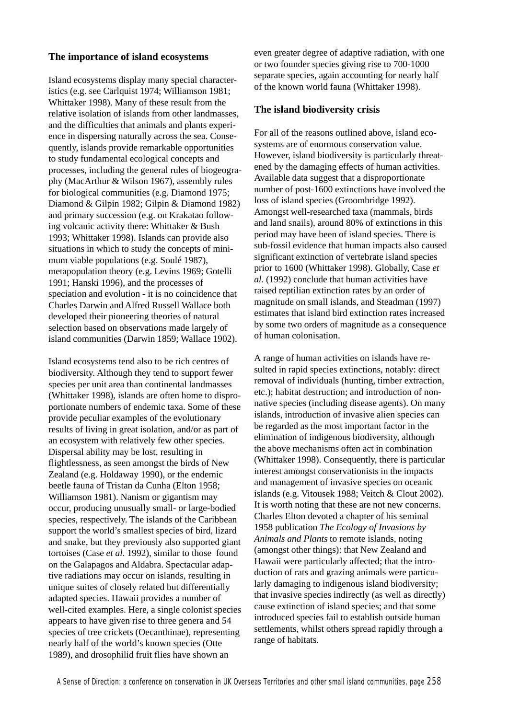### **The importance of island ecosystems**

Island ecosystems display many special characteristics (e.g. see Carlquist 1974; Williamson 1981; Whittaker 1998). Many of these result from the relative isolation of islands from other landmasses, and the difficulties that animals and plants experience in dispersing naturally across the sea. Consequently, islands provide remarkable opportunities to study fundamental ecological concepts and processes, including the general rules of biogeography (MacArthur & Wilson 1967), assembly rules for biological communities (e.g. Diamond 1975; Diamond & Gilpin 1982; Gilpin & Diamond 1982) and primary succession (e.g. on Krakatao following volcanic activity there: Whittaker & Bush 1993; Whittaker 1998). Islands can provide also situations in which to study the concepts of minimum viable populations (e.g. Soulé 1987), metapopulation theory (e.g. Levins 1969; Gotelli 1991; Hanski 1996), and the processes of speciation and evolution - it is no coincidence that Charles Darwin and Alfred Russell Wallace both developed their pioneering theories of natural selection based on observations made largely of island communities (Darwin 1859; Wallace 1902).

Island ecosystems tend also to be rich centres of biodiversity. Although they tend to support fewer species per unit area than continental landmasses (Whittaker 1998), islands are often home to disproportionate numbers of endemic taxa. Some of these provide peculiar examples of the evolutionary results of living in great isolation, and/or as part of an ecosystem with relatively few other species. Dispersal ability may be lost, resulting in flightlessness, as seen amongst the birds of New Zealand (e.g. Holdaway 1990), or the endemic beetle fauna of Tristan da Cunha (Elton 1958; Williamson 1981). Nanism or gigantism may occur, producing unusually small- or large-bodied species, respectively. The islands of the Caribbean support the world's smallest species of bird, lizard and snake, but they previously also supported giant tortoises (Case *et al.* 1992), similar to those found on the Galapagos and Aldabra. Spectacular adaptive radiations may occur on islands, resulting in unique suites of closely related but differentially adapted species. Hawaii provides a number of well-cited examples. Here, a single colonist species appears to have given rise to three genera and 54 species of tree crickets (Oecanthinae), representing nearly half of the world's known species (Otte 1989), and drosophilid fruit flies have shown an

even greater degree of adaptive radiation, with one or two founder species giving rise to 700-1000 separate species, again accounting for nearly half of the known world fauna (Whittaker 1998).

### **The island biodiversity crisis**

For all of the reasons outlined above, island ecosystems are of enormous conservation value. However, island biodiversity is particularly threatened by the damaging effects of human activities. Available data suggest that a disproportionate number of post-1600 extinctions have involved the loss of island species (Groombridge 1992). Amongst well-researched taxa (mammals, birds and land snails), around 80% of extinctions in this period may have been of island species. There is sub-fossil evidence that human impacts also caused significant extinction of vertebrate island species prior to 1600 (Whittaker 1998). Globally, Case *et al.* (1992) conclude that human activities have raised reptilian extinction rates by an order of magnitude on small islands, and Steadman (1997) estimates that island bird extinction rates increased by some two orders of magnitude as a consequence of human colonisation.

A range of human activities on islands have resulted in rapid species extinctions, notably: direct removal of individuals (hunting, timber extraction, etc.); habitat destruction; and introduction of nonnative species (including disease agents). On many islands, introduction of invasive alien species can be regarded as the most important factor in the elimination of indigenous biodiversity, although the above mechanisms often act in combination (Whittaker 1998). Consequently, there is particular interest amongst conservationists in the impacts and management of invasive species on oceanic islands (e.g. Vitousek 1988; Veitch & Clout 2002). It is worth noting that these are not new concerns. Charles Elton devoted a chapter of his seminal 1958 publication *The Ecology of Invasions by Animals and Plants* to remote islands, noting (amongst other things): that New Zealand and Hawaii were particularly affected; that the introduction of rats and grazing animals were particularly damaging to indigenous island biodiversity; that invasive species indirectly (as well as directly) cause extinction of island species; and that some introduced species fail to establish outside human settlements, whilst others spread rapidly through a range of habitats.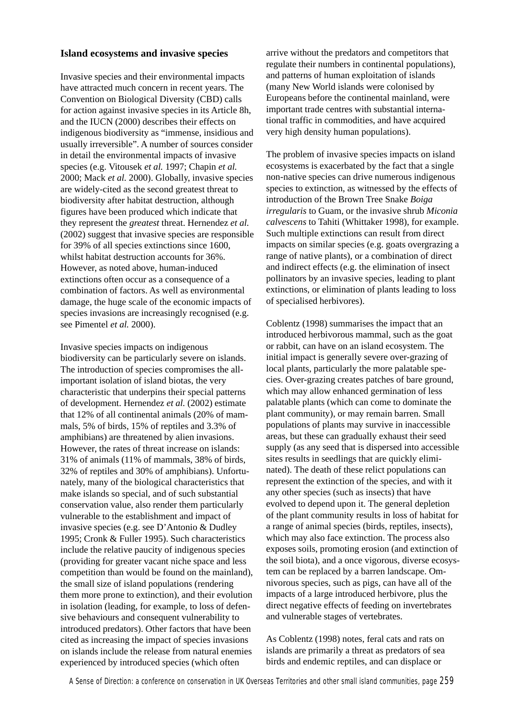### **Island ecosystems and invasive species**

Invasive species and their environmental impacts have attracted much concern in recent years. The Convention on Biological Diversity (CBD) calls for action against invasive species in its Article 8h, and the IUCN (2000) describes their effects on indigenous biodiversity as "immense, insidious and usually irreversible". A number of sources consider in detail the environmental impacts of invasive species (e.g. Vitousek *et al.* 1997; Chapin *et al.* 2000; Mack *et al.* 2000). Globally, invasive species are widely-cited as the second greatest threat to biodiversity after habitat destruction, although figures have been produced which indicate that they represent the *greatest* threat. Hernendez *et al.* (2002) suggest that invasive species are responsible for 39% of all species extinctions since 1600, whilst habitat destruction accounts for 36%. However, as noted above, human-induced extinctions often occur as a consequence of a combination of factors. As well as environmental damage, the huge scale of the economic impacts of species invasions are increasingly recognised (e.g. see Pimentel *et al.* 2000).

Invasive species impacts on indigenous biodiversity can be particularly severe on islands. The introduction of species compromises the allimportant isolation of island biotas, the very characteristic that underpins their special patterns of development. Hernendez *et al.* (2002) estimate that 12% of all continental animals (20% of mammals, 5% of birds, 15% of reptiles and 3.3% of amphibians) are threatened by alien invasions. However, the rates of threat increase on islands: 31% of animals (11% of mammals, 38% of birds, 32% of reptiles and 30% of amphibians). Unfortunately, many of the biological characteristics that make islands so special, and of such substantial conservation value, also render them particularly vulnerable to the establishment and impact of invasive species (e.g. see D'Antonio & Dudley 1995; Cronk & Fuller 1995). Such characteristics include the relative paucity of indigenous species (providing for greater vacant niche space and less competition than would be found on the mainland), the small size of island populations (rendering them more prone to extinction), and their evolution in isolation (leading, for example, to loss of defensive behaviours and consequent vulnerability to introduced predators). Other factors that have been cited as increasing the impact of species invasions on islands include the release from natural enemies experienced by introduced species (which often

arrive without the predators and competitors that regulate their numbers in continental populations), and patterns of human exploitation of islands (many New World islands were colonised by Europeans before the continental mainland, were important trade centres with substantial international traffic in commodities, and have acquired very high density human populations).

The problem of invasive species impacts on island ecosystems is exacerbated by the fact that a single non-native species can drive numerous indigenous species to extinction, as witnessed by the effects of introduction of the Brown Tree Snake *Boiga irregularis* to Guam, or the invasive shrub *Miconia calvescens* to Tahiti (Whittaker 1998), for example. Such multiple extinctions can result from direct impacts on similar species (e.g. goats overgrazing a range of native plants), or a combination of direct and indirect effects (e.g. the elimination of insect pollinators by an invasive species, leading to plant extinctions, or elimination of plants leading to loss of specialised herbivores).

Coblentz (1998) summarises the impact that an introduced herbivorous mammal, such as the goat or rabbit, can have on an island ecosystem. The initial impact is generally severe over-grazing of local plants, particularly the more palatable species. Over-grazing creates patches of bare ground, which may allow enhanced germination of less palatable plants (which can come to dominate the plant community), or may remain barren. Small populations of plants may survive in inaccessible areas, but these can gradually exhaust their seed supply (as any seed that is dispersed into accessible sites results in seedlings that are quickly eliminated). The death of these relict populations can represent the extinction of the species, and with it any other species (such as insects) that have evolved to depend upon it. The general depletion of the plant community results in loss of habitat for a range of animal species (birds, reptiles, insects), which may also face extinction. The process also exposes soils, promoting erosion (and extinction of the soil biota), and a once vigorous, diverse ecosystem can be replaced by a barren landscape. Omnivorous species, such as pigs, can have all of the impacts of a large introduced herbivore, plus the direct negative effects of feeding on invertebrates and vulnerable stages of vertebrates.

As Coblentz (1998) notes, feral cats and rats on islands are primarily a threat as predators of sea birds and endemic reptiles, and can displace or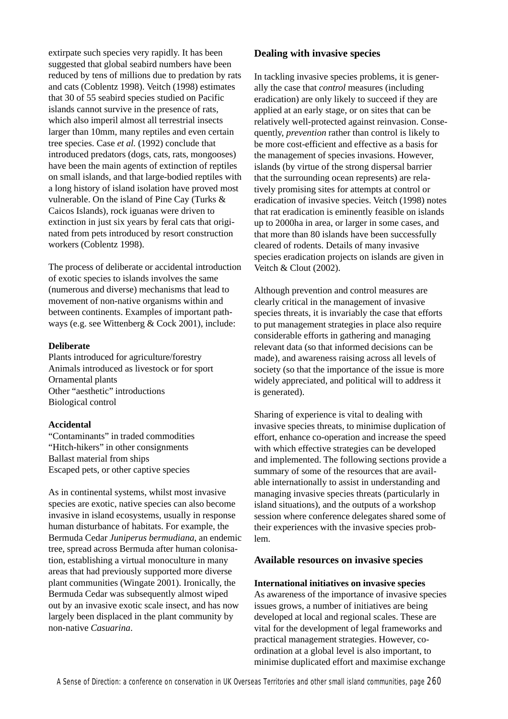extirpate such species very rapidly. It has been suggested that global seabird numbers have been reduced by tens of millions due to predation by rats and cats (Coblentz 1998). Veitch (1998) estimates that 30 of 55 seabird species studied on Pacific islands cannot survive in the presence of rats, which also imperil almost all terrestrial insects larger than 10mm, many reptiles and even certain tree species. Case *et al.* (1992) conclude that introduced predators (dogs, cats, rats, mongooses) have been the main agents of extinction of reptiles on small islands, and that large-bodied reptiles with a long history of island isolation have proved most vulnerable. On the island of Pine Cay (Turks & Caicos Islands), rock iguanas were driven to extinction in just six years by feral cats that originated from pets introduced by resort construction workers (Coblentz 1998).

The process of deliberate or accidental introduction of exotic species to islands involves the same (numerous and diverse) mechanisms that lead to movement of non-native organisms within and between continents. Examples of important pathways (e.g. see Wittenberg & Cock 2001), include:

### **Deliberate**

Plants introduced for agriculture/forestry Animals introduced as livestock or for sport Ornamental plants Other "aesthetic" introductions Biological control

### **Accidental**

"Contaminants" in traded commodities "Hitch-hikers" in other consignments Ballast material from ships Escaped pets, or other captive species

As in continental systems, whilst most invasive species are exotic, native species can also become invasive in island ecosystems, usually in response human disturbance of habitats. For example, the Bermuda Cedar *Juniperus bermudiana*, an endemic tree, spread across Bermuda after human colonisation, establishing a virtual monoculture in many areas that had previously supported more diverse plant communities (Wingate 2001). Ironically, the Bermuda Cedar was subsequently almost wiped out by an invasive exotic scale insect, and has now largely been displaced in the plant community by non-native *Casuarina*.

### **Dealing with invasive species**

In tackling invasive species problems, it is generally the case that *control* measures (including eradication) are only likely to succeed if they are applied at an early stage, or on sites that can be relatively well-protected against reinvasion. Consequently, *prevention* rather than control is likely to be more cost-efficient and effective as a basis for the management of species invasions. However, islands (by virtue of the strong dispersal barrier that the surrounding ocean represents) are relatively promising sites for attempts at control or eradication of invasive species. Veitch (1998) notes that rat eradication is eminently feasible on islands up to 2000ha in area, or larger in some cases, and that more than 80 islands have been successfully cleared of rodents. Details of many invasive species eradication projects on islands are given in Veitch & Clout (2002).

Although prevention and control measures are clearly critical in the management of invasive species threats, it is invariably the case that efforts to put management strategies in place also require considerable efforts in gathering and managing relevant data (so that informed decisions can be made), and awareness raising across all levels of society (so that the importance of the issue is more widely appreciated, and political will to address it is generated).

Sharing of experience is vital to dealing with invasive species threats, to minimise duplication of effort, enhance co-operation and increase the speed with which effective strategies can be developed and implemented. The following sections provide a summary of some of the resources that are available internationally to assist in understanding and managing invasive species threats (particularly in island situations), and the outputs of a workshop session where conference delegates shared some of their experiences with the invasive species problem.

### **Available resources on invasive species**

**International initiatives on invasive species** As awareness of the importance of invasive species issues grows, a number of initiatives are being developed at local and regional scales. These are vital for the development of legal frameworks and practical management strategies. However, coordination at a global level is also important, to minimise duplicated effort and maximise exchange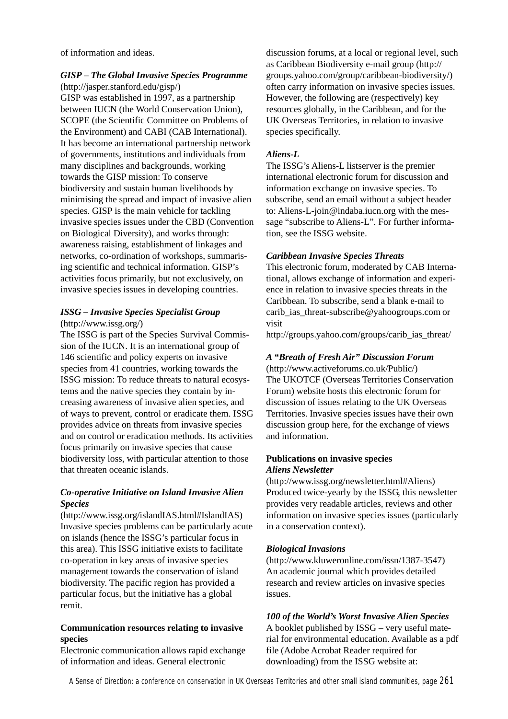of information and ideas.

### *GISP – The Global Invasive Species Programme* (http://jasper.stanford.edu/gisp/)

GISP was established in 1997, as a partnership between IUCN (the World Conservation Union), SCOPE (the Scientific Committee on Problems of the Environment) and CABI (CAB International). It has become an international partnership network of governments, institutions and individuals from many disciplines and backgrounds, working towards the GISP mission: To conserve biodiversity and sustain human livelihoods by minimising the spread and impact of invasive alien species. GISP is the main vehicle for tackling invasive species issues under the CBD (Convention on Biological Diversity), and works through: awareness raising, establishment of linkages and networks, co-ordination of workshops, summarising scientific and technical information. GISP's activities focus primarily, but not exclusively, on invasive species issues in developing countries.

### *ISSG – Invasive Species Specialist Group* (http://www.issg.org/)

The ISSG is part of the Species Survival Commission of the IUCN. It is an international group of 146 scientific and policy experts on invasive species from 41 countries, working towards the ISSG mission: To reduce threats to natural ecosystems and the native species they contain by increasing awareness of invasive alien species, and of ways to prevent, control or eradicate them. ISSG provides advice on threats from invasive species and on control or eradication methods. Its activities focus primarily on invasive species that cause biodiversity loss, with particular attention to those that threaten oceanic islands.

### *Co-operative Initiative on Island Invasive Alien Species*

(http://www.issg.org/islandIAS.html#IslandIAS) Invasive species problems can be particularly acute on islands (hence the ISSG's particular focus in this area). This ISSG initiative exists to facilitate co-operation in key areas of invasive species management towards the conservation of island biodiversity. The pacific region has provided a particular focus, but the initiative has a global remit.

### **Communication resources relating to invasive species**

Electronic communication allows rapid exchange of information and ideas. General electronic

discussion forums, at a local or regional level, such as Caribbean Biodiversity e-mail group (http:// groups.yahoo.com/group/caribbean-biodiversity/) often carry information on invasive species issues. However, the following are (respectively) key resources globally, in the Caribbean, and for the UK Overseas Territories, in relation to invasive species specifically.

### *Aliens-L*

The ISSG's Aliens-L listserver is the premier international electronic forum for discussion and information exchange on invasive species. To subscribe, send an email without a subject header to: Aliens-L-join@indaba.iucn.org with the message "subscribe to Aliens-L". For further information, see the ISSG website.

### *Caribbean Invasive Species Threats*

This electronic forum, moderated by CAB International, allows exchange of information and experience in relation to invasive species threats in the Caribbean. To subscribe, send a blank e-mail to carib ias threat-subscribe@yahoogroups.com or visit

http://groups.yahoo.com/groups/carib\_ias\_threat/

### *A "Breath of Fresh Air" Discussion Forum*

(http://www.activeforums.co.uk/Public/) The UKOTCF (Overseas Territories Conservation Forum) website hosts this electronic forum for discussion of issues relating to the UK Overseas Territories. Invasive species issues have their own discussion group here, for the exchange of views and information.

### **Publications on invasive species** *Aliens Newsletter*

(http://www.issg.org/newsletter.html#Aliens) Produced twice-yearly by the ISSG, this newsletter provides very readable articles, reviews and other information on invasive species issues (particularly in a conservation context).

### *Biological Invasions*

(http://www.kluweronline.com/issn/1387-3547) An academic journal which provides detailed research and review articles on invasive species issues.

### *100 of the World's Worst Invasive Alien Species* A booklet published by ISSG – very useful material for environmental education. Available as a pdf file (Adobe Acrobat Reader required for

downloading) from the ISSG website at: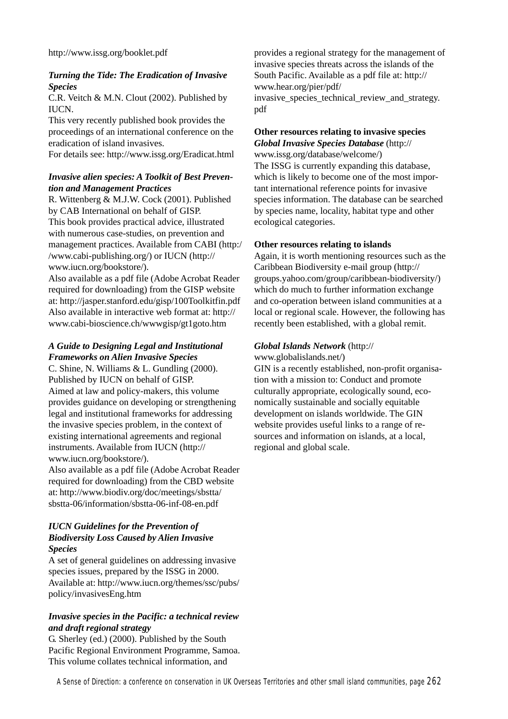### *Turning the Tide: The Eradication of Invasive Species*

C.R. Veitch & M.N. Clout (2002). Published by IUCN.

This very recently published book provides the proceedings of an international conference on the eradication of island invasives.

For details see: http://www.issg.org/Eradicat.html

### *Invasive alien species: A Toolkit of Best Prevention and Management Practices*

R. Wittenberg & M.J.W. Cock (2001). Published by CAB International on behalf of GISP. This book provides practical advice, illustrated with numerous case-studies, on prevention and management practices. Available from CABI (http:/ /www.cabi-publishing.org/) or IUCN (http:// www.iucn.org/bookstore/).

Also available as a pdf file (Adobe Acrobat Reader required for downloading) from the GISP website at: http://jasper.stanford.edu/gisp/100Toolkitfin.pdf Also available in interactive web format at: http:// www.cabi-bioscience.ch/wwwgisp/gt1goto.htm

### *A Guide to Designing Legal and Institutional Frameworks on Alien Invasive Species*

C. Shine, N. Williams & L. Gundling (2000). Published by IUCN on behalf of GISP. Aimed at law and policy-makers, this volume provides guidance on developing or strengthening legal and institutional frameworks for addressing the invasive species problem, in the context of existing international agreements and regional instruments. Available from IUCN (http:// www.iucn.org/bookstore/).

Also available as a pdf file (Adobe Acrobat Reader required for downloading) from the CBD website at: http://www.biodiv.org/doc/meetings/sbstta/ sbstta-06/information/sbstta-06-inf-08-en.pdf

### *IUCN Guidelines for the Prevention of Biodiversity Loss Caused by Alien Invasive Species*

A set of general guidelines on addressing invasive species issues, prepared by the ISSG in 2000. Available at: http://www.iucn.org/themes/ssc/pubs/ policy/invasivesEng.htm

### *Invasive species in the Pacific: a technical review and draft regional strategy*

G. Sherley (ed.) (2000). Published by the South Pacific Regional Environment Programme, Samoa. This volume collates technical information, and

provides a regional strategy for the management of invasive species threats across the islands of the South Pacific. Available as a pdf file at: http:// www.hear.org/pier/pdf/ invasive\_species\_technical\_review\_and\_strategy. pdf

### **Other resources relating to invasive species** *Global Invasive Species Database* (http://

www.issg.org/database/welcome/) The ISSG is currently expanding this database, which is likely to become one of the most important international reference points for invasive species information. The database can be searched by species name, locality, habitat type and other ecological categories.

### **Other resources relating to islands**

Again, it is worth mentioning resources such as the Caribbean Biodiversity e-mail group (http:// groups.yahoo.com/group/caribbean-biodiversity/) which do much to further information exchange and co-operation between island communities at a local or regional scale. However, the following has recently been established, with a global remit.

### *Global Islands Network* (http://

www.globalislands.net/)

GIN is a recently established, non-profit organisation with a mission to: Conduct and promote culturally appropriate, ecologically sound, economically sustainable and socially equitable development on islands worldwide. The GIN website provides useful links to a range of resources and information on islands, at a local, regional and global scale.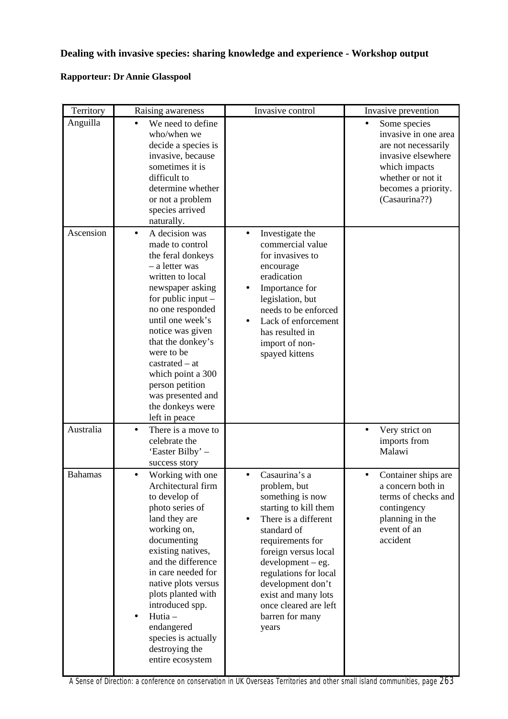### **Dealing with invasive species: sharing knowledge and experience - Workshop output**

### **Rapporteur: Dr Annie Glasspool**

| Territory      | Raising awareness                                                                                                                                                                                                                                                                                                                                                          | Invasive control                                                                                                                                                                                                                                                                                                            | Invasive prevention                                                                                                                                             |
|----------------|----------------------------------------------------------------------------------------------------------------------------------------------------------------------------------------------------------------------------------------------------------------------------------------------------------------------------------------------------------------------------|-----------------------------------------------------------------------------------------------------------------------------------------------------------------------------------------------------------------------------------------------------------------------------------------------------------------------------|-----------------------------------------------------------------------------------------------------------------------------------------------------------------|
| Anguilla       | We need to define<br>who/when we<br>decide a species is<br>invasive, because<br>sometimes it is<br>difficult to<br>determine whether<br>or not a problem<br>species arrived<br>naturally.                                                                                                                                                                                  |                                                                                                                                                                                                                                                                                                                             | Some species<br>invasive in one area<br>are not necessarily<br>invasive elsewhere<br>which impacts<br>whether or not it<br>becomes a priority.<br>(Casaurina??) |
| Ascension      | A decision was<br>$\bullet$<br>made to control<br>the feral donkeys<br>- a letter was<br>written to local<br>newspaper asking<br>for public input $-$<br>no one responded<br>until one week's<br>notice was given<br>that the donkey's<br>were to be<br>$castrated - at$<br>which point a 300<br>person petition<br>was presented and<br>the donkeys were<br>left in peace | Investigate the<br>$\bullet$<br>commercial value<br>for invasives to<br>encourage<br>eradication<br>Importance for<br>legislation, but<br>needs to be enforced<br>Lack of enforcement<br>has resulted in<br>import of non-<br>spayed kittens                                                                                |                                                                                                                                                                 |
| Australia      | There is a move to<br>$\bullet$<br>celebrate the<br>'Easter Bilby' –<br>success story                                                                                                                                                                                                                                                                                      |                                                                                                                                                                                                                                                                                                                             | Very strict on<br>$\bullet$<br>imports from<br>Malawi                                                                                                           |
| <b>Bahamas</b> | Working with one<br>Architectural firm<br>to develop of<br>photo series of<br>land they are<br>working on,<br>documenting<br>existing natives,<br>and the difference<br>in care needed for<br>native plots versus<br>plots planted with<br>introduced spp.<br>Hutia-<br>endangered<br>species is actually<br>destroying the<br>entire ecosystem                            | Casaurina's a<br>problem, but<br>something is now<br>starting to kill them<br>There is a different<br>$\bullet$<br>standard of<br>requirements for<br>foreign versus local<br>$development - eg.$<br>regulations for local<br>development don't<br>exist and many lots<br>once cleared are left<br>barren for many<br>years | Container ships are<br>a concern both in<br>terms of checks and<br>contingency<br>planning in the<br>event of an<br>accident                                    |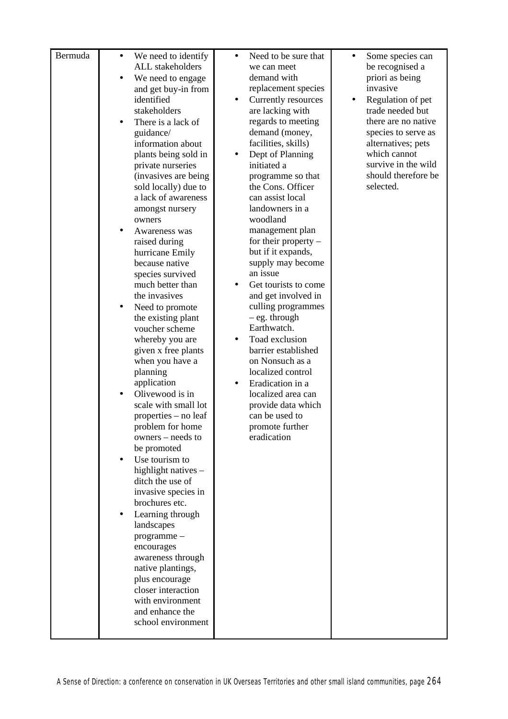| Bermuda | $\bullet$<br>$\bullet$ | We need to identify<br>ALL stakeholders<br>We need to engage<br>and get buy-in from<br>identified<br>stakeholders<br>There is a lack of<br>guidance/<br>information about<br>plants being sold in<br>private nurseries<br>(invasives are being<br>sold locally) due to<br>a lack of awareness<br>amongst nursery<br>owners<br>Awareness was<br>raised during<br>hurricane Emily<br>because native<br>species survived<br>much better than<br>the invasives<br>Need to promote<br>the existing plant<br>voucher scheme<br>whereby you are | $\bullet$<br>٠<br>$\bullet$<br>$\bullet$ | Need to be sure that<br>we can meet<br>demand with<br>replacement species<br>Currently resources<br>are lacking with<br>regards to meeting<br>demand (money,<br>facilities, skills)<br>Dept of Planning<br>initiated a<br>programme so that<br>the Cons. Officer<br>can assist local<br>landowners in a<br>woodland<br>management plan<br>for their property $-$<br>but if it expands,<br>supply may become<br>an issue<br>Get tourists to come<br>and get involved in<br>culling programmes<br>$-$ eg. through<br>Earthwatch.<br>Toad exclusion | $\bullet$<br>$\bullet$ | Some species can<br>be recognised a<br>priori as being<br>invasive<br>Regulation of pet<br>trade needed but<br>there are no native<br>species to serve as<br>alternatives; pets<br>which cannot<br>survive in the wild<br>should therefore be<br>selected. |
|---------|------------------------|------------------------------------------------------------------------------------------------------------------------------------------------------------------------------------------------------------------------------------------------------------------------------------------------------------------------------------------------------------------------------------------------------------------------------------------------------------------------------------------------------------------------------------------|------------------------------------------|--------------------------------------------------------------------------------------------------------------------------------------------------------------------------------------------------------------------------------------------------------------------------------------------------------------------------------------------------------------------------------------------------------------------------------------------------------------------------------------------------------------------------------------------------|------------------------|------------------------------------------------------------------------------------------------------------------------------------------------------------------------------------------------------------------------------------------------------------|
|         |                        |                                                                                                                                                                                                                                                                                                                                                                                                                                                                                                                                          |                                          |                                                                                                                                                                                                                                                                                                                                                                                                                                                                                                                                                  |                        |                                                                                                                                                                                                                                                            |
|         |                        |                                                                                                                                                                                                                                                                                                                                                                                                                                                                                                                                          |                                          |                                                                                                                                                                                                                                                                                                                                                                                                                                                                                                                                                  |                        |                                                                                                                                                                                                                                                            |
|         |                        |                                                                                                                                                                                                                                                                                                                                                                                                                                                                                                                                          |                                          |                                                                                                                                                                                                                                                                                                                                                                                                                                                                                                                                                  |                        |                                                                                                                                                                                                                                                            |
|         |                        | given x free plants<br>when you have a<br>planning                                                                                                                                                                                                                                                                                                                                                                                                                                                                                       |                                          | barrier established<br>on Nonsuch as a<br>localized control                                                                                                                                                                                                                                                                                                                                                                                                                                                                                      |                        |                                                                                                                                                                                                                                                            |
|         |                        | application<br>Olivewood is in<br>scale with small lot<br>properties - no leaf<br>problem for home<br>owners – needs to                                                                                                                                                                                                                                                                                                                                                                                                                  |                                          | Eradication in a<br>localized area can<br>provide data which<br>can be used to<br>promote further<br>eradication                                                                                                                                                                                                                                                                                                                                                                                                                                 |                        |                                                                                                                                                                                                                                                            |
|         |                        | be promoted<br>Use tourism to<br>highlight natives -<br>ditch the use of<br>invasive species in<br>brochures etc.                                                                                                                                                                                                                                                                                                                                                                                                                        |                                          |                                                                                                                                                                                                                                                                                                                                                                                                                                                                                                                                                  |                        |                                                                                                                                                                                                                                                            |
|         |                        | Learning through<br>landscapes<br>programme-<br>encourages<br>awareness through<br>native plantings,                                                                                                                                                                                                                                                                                                                                                                                                                                     |                                          |                                                                                                                                                                                                                                                                                                                                                                                                                                                                                                                                                  |                        |                                                                                                                                                                                                                                                            |
|         |                        | plus encourage<br>closer interaction<br>with environment<br>and enhance the<br>school environment                                                                                                                                                                                                                                                                                                                                                                                                                                        |                                          |                                                                                                                                                                                                                                                                                                                                                                                                                                                                                                                                                  |                        |                                                                                                                                                                                                                                                            |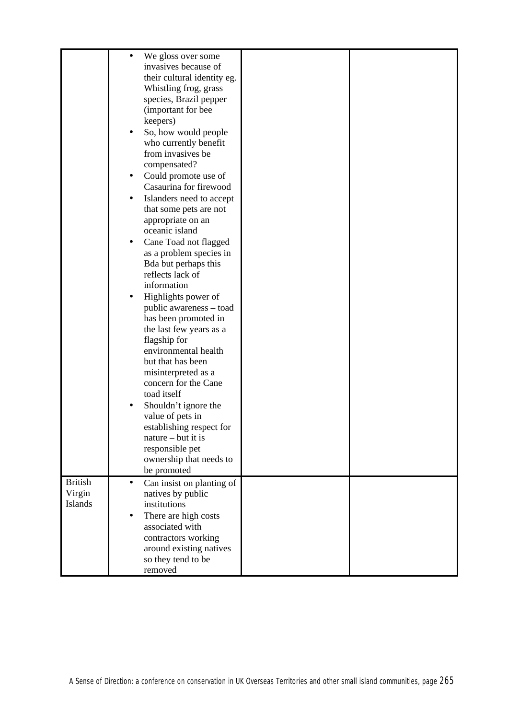|                                     | We gloss over some<br>invasives because of<br>their cultural identity eg.<br>Whistling frog, grass<br>species, Brazil pepper<br>(important for bee<br>keepers)<br>So, how would people<br>who currently benefit<br>from invasives be<br>compensated?<br>Could promote use of<br>٠<br>Casaurina for firewood<br>Islanders need to accept<br>٠<br>that some pets are not<br>appropriate on an<br>oceanic island<br>Cane Toad not flagged<br>٠<br>as a problem species in<br>Bda but perhaps this<br>reflects lack of<br>information<br>Highlights power of<br>public awareness – toad<br>has been promoted in<br>the last few years as a<br>flagship for<br>environmental health<br>but that has been<br>misinterpreted as a<br>concern for the Cane<br>toad itself<br>Shouldn't ignore the<br>value of pets in<br>establishing respect for<br>nature – but it is<br>responsible pet<br>ownership that needs to<br>be promoted |  |
|-------------------------------------|------------------------------------------------------------------------------------------------------------------------------------------------------------------------------------------------------------------------------------------------------------------------------------------------------------------------------------------------------------------------------------------------------------------------------------------------------------------------------------------------------------------------------------------------------------------------------------------------------------------------------------------------------------------------------------------------------------------------------------------------------------------------------------------------------------------------------------------------------------------------------------------------------------------------------|--|
|                                     |                                                                                                                                                                                                                                                                                                                                                                                                                                                                                                                                                                                                                                                                                                                                                                                                                                                                                                                              |  |
| <b>British</b><br>Virgin<br>Islands | Can insist on planting of<br>$\bullet$<br>natives by public<br>institutions<br>There are high costs<br>$\bullet$<br>associated with<br>contractors working<br>around existing natives<br>so they tend to be<br>removed                                                                                                                                                                                                                                                                                                                                                                                                                                                                                                                                                                                                                                                                                                       |  |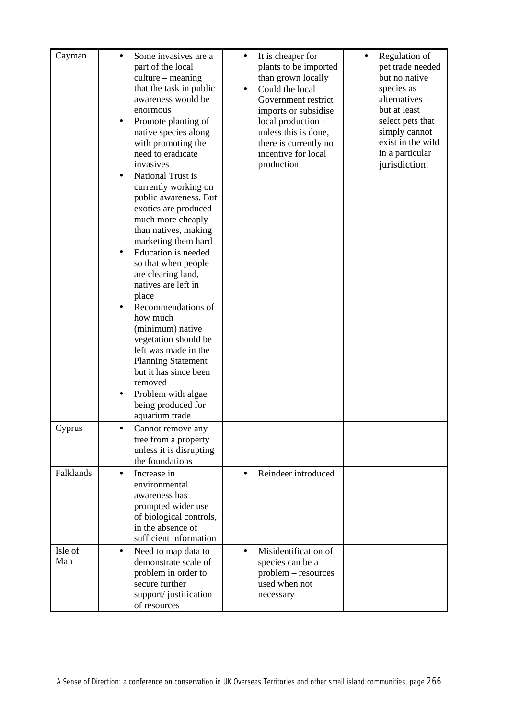| Cayman         |           | Some invasives are a<br>part of the local          | $\bullet$ | It is cheaper for<br>plants to be imported | Regulation of<br>pet trade needed |
|----------------|-----------|----------------------------------------------------|-----------|--------------------------------------------|-----------------------------------|
|                |           | $culture - meaning$                                |           | than grown locally                         | but no native                     |
|                |           | that the task in public                            |           | Could the local                            | species as                        |
|                |           | awareness would be                                 |           | Government restrict                        | alternatives -                    |
|                |           | enormous                                           |           | imports or subsidise                       | but at least                      |
|                | ٠         | Promote planting of                                |           | local production -                         | select pets that                  |
|                |           | native species along                               |           | unless this is done,                       | simply cannot                     |
|                |           | with promoting the                                 |           | there is currently no                      | exist in the wild                 |
|                |           | need to eradicate<br>invasives                     |           | incentive for local                        | in a particular                   |
|                |           | National Trust is                                  |           | production                                 | jurisdiction.                     |
|                | $\bullet$ | currently working on                               |           |                                            |                                   |
|                |           | public awareness. But                              |           |                                            |                                   |
|                |           | exotics are produced                               |           |                                            |                                   |
|                |           | much more cheaply                                  |           |                                            |                                   |
|                |           | than natives, making                               |           |                                            |                                   |
|                |           | marketing them hard                                |           |                                            |                                   |
|                |           | Education is needed                                |           |                                            |                                   |
|                |           | so that when people                                |           |                                            |                                   |
|                |           | are clearing land,<br>natives are left in          |           |                                            |                                   |
|                |           | place                                              |           |                                            |                                   |
|                |           | Recommendations of                                 |           |                                            |                                   |
|                |           | how much                                           |           |                                            |                                   |
|                |           | (minimum) native                                   |           |                                            |                                   |
|                |           | vegetation should be                               |           |                                            |                                   |
|                |           | left was made in the                               |           |                                            |                                   |
|                |           | <b>Planning Statement</b><br>but it has since been |           |                                            |                                   |
|                |           | removed                                            |           |                                            |                                   |
|                |           | Problem with algae                                 |           |                                            |                                   |
|                |           | being produced for                                 |           |                                            |                                   |
|                |           | aquarium trade                                     |           |                                            |                                   |
| Cyprus         | ٠         | Cannot remove any                                  |           |                                            |                                   |
|                |           | tree from a property                               |           |                                            |                                   |
|                |           | unless it is disrupting<br>the foundations         |           |                                            |                                   |
| Falklands      | $\bullet$ | Increase in                                        | $\bullet$ | Reindeer introduced                        |                                   |
|                |           | environmental                                      |           |                                            |                                   |
|                |           | awareness has                                      |           |                                            |                                   |
|                |           | prompted wider use                                 |           |                                            |                                   |
|                |           | of biological controls,                            |           |                                            |                                   |
|                |           | in the absence of                                  |           |                                            |                                   |
|                |           | sufficient information                             |           |                                            |                                   |
| Isle of<br>Man | $\bullet$ | Need to map data to<br>demonstrate scale of        | $\bullet$ | Misidentification of<br>species can be a   |                                   |
|                |           | problem in order to                                |           | problem – resources                        |                                   |
|                |           | secure further                                     |           | used when not                              |                                   |
|                |           | support/justification                              |           | necessary                                  |                                   |
|                |           | of resources                                       |           |                                            |                                   |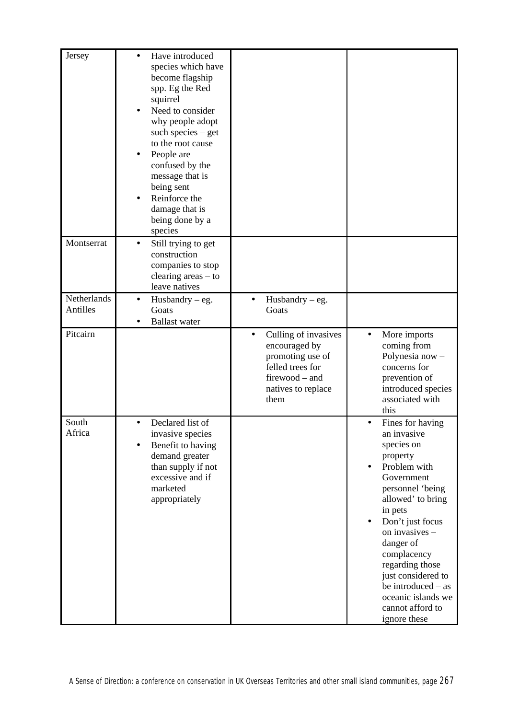| Jersey                  | Have introduced<br>$\bullet$<br>species which have<br>become flagship<br>spp. Eg the Red<br>squirrel<br>Need to consider<br>why people adopt<br>such species $-$ get<br>to the root cause<br>People are<br>٠<br>confused by the<br>message that is<br>being sent<br>Reinforce the<br>damage that is<br>being done by a<br>species |                                                                                                                                            |                                                                                                                                                                                                                                                                                                                                                     |
|-------------------------|-----------------------------------------------------------------------------------------------------------------------------------------------------------------------------------------------------------------------------------------------------------------------------------------------------------------------------------|--------------------------------------------------------------------------------------------------------------------------------------------|-----------------------------------------------------------------------------------------------------------------------------------------------------------------------------------------------------------------------------------------------------------------------------------------------------------------------------------------------------|
| Montserrat              | Still trying to get<br>$\bullet$<br>construction<br>companies to stop<br>clearing $area - to$<br>leave natives                                                                                                                                                                                                                    |                                                                                                                                            |                                                                                                                                                                                                                                                                                                                                                     |
| Netherlands<br>Antilles | Husbandry $-$ eg.<br>$\bullet$<br>Goats<br><b>Ballast</b> water                                                                                                                                                                                                                                                                   | Husbandry $-$ eg.<br>$\bullet$<br>Goats                                                                                                    |                                                                                                                                                                                                                                                                                                                                                     |
| Pitcairn                |                                                                                                                                                                                                                                                                                                                                   | Culling of invasives<br>$\bullet$<br>encouraged by<br>promoting use of<br>felled trees for<br>firewood - and<br>natives to replace<br>them | More imports<br>$\bullet$<br>coming from<br>Polynesia now -<br>concerns for<br>prevention of<br>introduced species<br>associated with<br>this                                                                                                                                                                                                       |
| South<br>Africa         | Declared list of<br>$\bullet$<br>invasive species<br>Benefit to having<br>demand greater<br>than supply if not<br>excessive and if<br>marketed<br>appropriately                                                                                                                                                                   |                                                                                                                                            | Fines for having<br>$\bullet$<br>an invasive<br>species on<br>property<br>Problem with<br>Government<br>personnel 'being<br>allowed' to bring<br>in pets<br>Don't just focus<br>on invasives -<br>danger of<br>complacency<br>regarding those<br>just considered to<br>be introduced – as<br>oceanic islands we<br>cannot afford to<br>ignore these |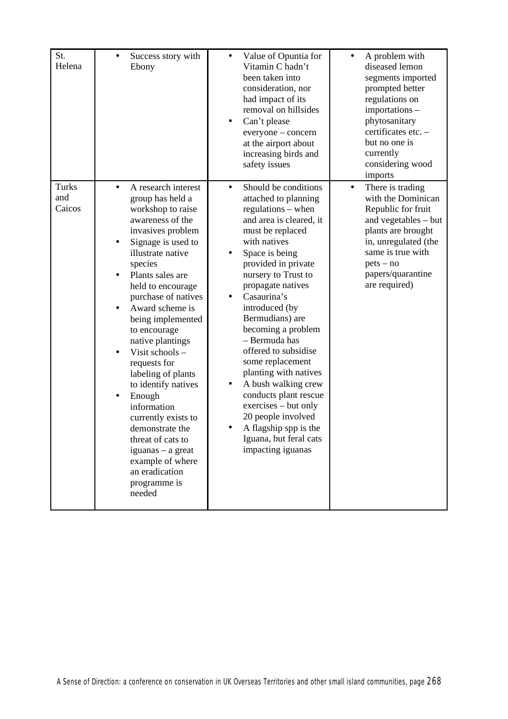| St.<br>Helena          | Success story with<br>$\bullet$<br>Ebony                                                                                                                                                                                                                                                                                                                                                                                                                                                                                                                                                                    | Value of Opuntia for<br>$\bullet$<br>Vitamin C hadn't<br>been taken into<br>consideration, nor<br>had impact of its<br>removal on hillsides<br>Can't please<br>everyone – concern<br>at the airport about<br>increasing birds and<br>safety issues                                                                                                                                                                                                                                                                                                                        | A problem with<br>$\bullet$<br>diseased lemon<br>segments imported<br>prompted better<br>regulations on<br>importations -<br>phytosanitary<br>certificates etc. -<br>but no one is<br>currently<br>considering wood<br>imports |
|------------------------|-------------------------------------------------------------------------------------------------------------------------------------------------------------------------------------------------------------------------------------------------------------------------------------------------------------------------------------------------------------------------------------------------------------------------------------------------------------------------------------------------------------------------------------------------------------------------------------------------------------|---------------------------------------------------------------------------------------------------------------------------------------------------------------------------------------------------------------------------------------------------------------------------------------------------------------------------------------------------------------------------------------------------------------------------------------------------------------------------------------------------------------------------------------------------------------------------|--------------------------------------------------------------------------------------------------------------------------------------------------------------------------------------------------------------------------------|
| Turks<br>and<br>Caicos | A research interest<br>$\bullet$<br>group has held a<br>workshop to raise<br>awareness of the<br>invasives problem<br>Signage is used to<br>$\bullet$<br>illustrate native<br>species<br>Plants sales are<br>held to encourage<br>purchase of natives<br>Award scheme is<br>being implemented<br>to encourage<br>native plantings<br>Visit schools -<br>$\bullet$<br>requests for<br>labeling of plants<br>to identify natives<br>Enough<br>information<br>currently exists to<br>demonstrate the<br>threat of cats to<br>iguanas – a great<br>example of where<br>an eradication<br>programme is<br>needed | Should be conditions<br>$\bullet$<br>attached to planning<br>regulations – when<br>and area is cleared, it<br>must be replaced<br>with natives<br>Space is being<br>provided in private<br>nursery to Trust to<br>propagate natives<br>Casaurina's<br>introduced (by<br>Bermudians) are<br>becoming a problem<br>- Bermuda has<br>offered to subsidise<br>some replacement<br>planting with natives<br>A bush walking crew<br>conducts plant rescue<br>exercises – but only<br>20 people involved<br>A flagship spp is the<br>Iguana, but feral cats<br>impacting iguanas | There is trading<br>$\bullet$<br>with the Dominican<br>Republic for fruit<br>and vegetables - but<br>plants are brought<br>in, unregulated (the<br>same is true with<br>$pets - no$<br>papers/quarantine<br>are required)      |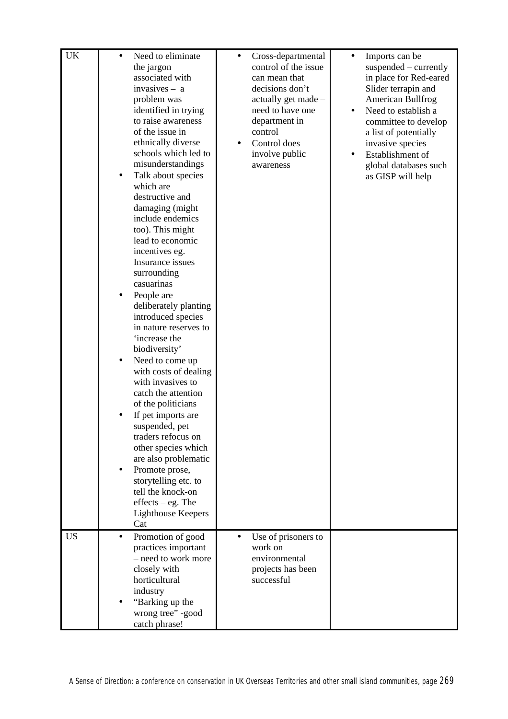| <b>UK</b> | Need to eliminate<br>$\bullet$<br>the jargon<br>associated with<br>invasives - a<br>problem was<br>identified in trying<br>to raise awareness<br>of the issue in<br>ethnically diverse<br>schools which led to<br>misunderstandings<br>Talk about species<br>which are<br>destructive and<br>damaging (might<br>include endemics<br>too). This might<br>lead to economic<br>incentives eg.<br>Insurance issues<br>surrounding<br>casuarinas<br>People are<br>deliberately planting<br>introduced species<br>in nature reserves to<br>'increase the<br>biodiversity'<br>Need to come up<br>٠<br>with costs of dealing<br>with invasives to<br>catch the attention<br>of the politicians<br>If pet imports are<br>suspended, pet<br>traders refocus on<br>other species which<br>are also problematic<br>Promote prose,<br>$\bullet$<br>storytelling etc. to<br>tell the knock-on<br>$effects - eg.$ The<br><b>Lighthouse Keepers</b><br>Cat | Cross-departmental<br>$\bullet$<br>control of the issue<br>can mean that<br>decisions don't<br>actually get made -<br>need to have one<br>department in<br>control<br>Control does<br>$\bullet$<br>involve public<br>awareness | Imports can be<br>$\bullet$<br>suspended – currently<br>in place for Red-eared<br>Slider terrapin and<br>American Bullfrog<br>Need to establish a<br>$\bullet$<br>committee to develop<br>a list of potentially<br>invasive species<br>Establishment of<br>$\bullet$<br>global databases such<br>as GISP will help |
|-----------|--------------------------------------------------------------------------------------------------------------------------------------------------------------------------------------------------------------------------------------------------------------------------------------------------------------------------------------------------------------------------------------------------------------------------------------------------------------------------------------------------------------------------------------------------------------------------------------------------------------------------------------------------------------------------------------------------------------------------------------------------------------------------------------------------------------------------------------------------------------------------------------------------------------------------------------------|--------------------------------------------------------------------------------------------------------------------------------------------------------------------------------------------------------------------------------|--------------------------------------------------------------------------------------------------------------------------------------------------------------------------------------------------------------------------------------------------------------------------------------------------------------------|
| <b>US</b> | Promotion of good<br>$\bullet$<br>practices important                                                                                                                                                                                                                                                                                                                                                                                                                                                                                                                                                                                                                                                                                                                                                                                                                                                                                      | Use of prisoners to<br>work on                                                                                                                                                                                                 |                                                                                                                                                                                                                                                                                                                    |
|           | - need to work more                                                                                                                                                                                                                                                                                                                                                                                                                                                                                                                                                                                                                                                                                                                                                                                                                                                                                                                        | environmental                                                                                                                                                                                                                  |                                                                                                                                                                                                                                                                                                                    |
|           | closely with<br>horticultural                                                                                                                                                                                                                                                                                                                                                                                                                                                                                                                                                                                                                                                                                                                                                                                                                                                                                                              | projects has been<br>successful                                                                                                                                                                                                |                                                                                                                                                                                                                                                                                                                    |
|           | industry                                                                                                                                                                                                                                                                                                                                                                                                                                                                                                                                                                                                                                                                                                                                                                                                                                                                                                                                   |                                                                                                                                                                                                                                |                                                                                                                                                                                                                                                                                                                    |
|           | "Barking up the                                                                                                                                                                                                                                                                                                                                                                                                                                                                                                                                                                                                                                                                                                                                                                                                                                                                                                                            |                                                                                                                                                                                                                                |                                                                                                                                                                                                                                                                                                                    |
|           | wrong tree" -good                                                                                                                                                                                                                                                                                                                                                                                                                                                                                                                                                                                                                                                                                                                                                                                                                                                                                                                          |                                                                                                                                                                                                                                |                                                                                                                                                                                                                                                                                                                    |
|           | catch phrase!                                                                                                                                                                                                                                                                                                                                                                                                                                                                                                                                                                                                                                                                                                                                                                                                                                                                                                                              |                                                                                                                                                                                                                                |                                                                                                                                                                                                                                                                                                                    |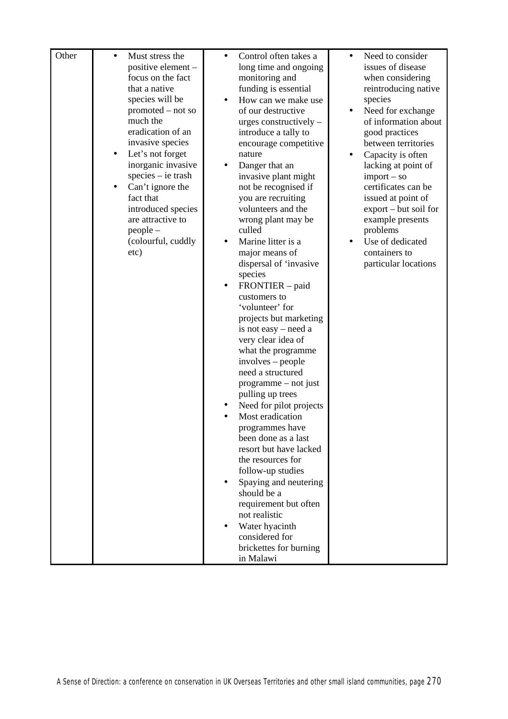| Other |   | Must stress the    | $\bullet$ | Control often takes a   | $\bullet$ | Need to consider                      |
|-------|---|--------------------|-----------|-------------------------|-----------|---------------------------------------|
|       |   | positive element - |           | long time and ongoing   |           | issues of disease                     |
|       |   | focus on the fact  |           | monitoring and          |           | when considering                      |
|       |   | that a native      |           | funding is essential    |           | reintroducing native                  |
|       |   | species will be    |           | How can we make use     |           | species                               |
|       |   | promoted – not so  |           | of our destructive      |           | Need for exchange                     |
|       |   | much the           |           | urges constructively -  |           | of information about                  |
|       |   | eradication of an  |           | introduce a tally to    |           | good practices                        |
|       |   | invasive species   |           | encourage competitive   |           | between territories                   |
|       | ٠ | Let's not forget   |           | nature                  |           | Capacity is often                     |
|       |   | inorganic invasive | ٠         | Danger that an          |           | lacking at point of                   |
|       |   | species – ie trash |           | invasive plant might    |           | $import - so$                         |
|       |   | Can't ignore the   |           | not be recognised if    |           | certificates can be                   |
|       |   | fact that          |           | you are recruiting      |           | issued at point of                    |
|       |   | introduced species |           | volunteers and the      |           | $\text{export} - \text{but soil}$ for |
|       |   | are attractive to  |           | wrong plant may be      |           | example presents                      |
|       |   | $people -$         |           | culled                  |           | problems                              |
|       |   | (colourful, cuddly |           | Marine litter is a      |           | Use of dedicated                      |
|       |   | etc)               |           | major means of          |           | containers to                         |
|       |   |                    |           | dispersal of 'invasive  |           | particular locations                  |
|       |   |                    |           | species                 |           |                                       |
|       |   |                    | ٠         | FRONTIER – paid         |           |                                       |
|       |   |                    |           | customers to            |           |                                       |
|       |   |                    |           | 'volunteer' for         |           |                                       |
|       |   |                    |           | projects but marketing  |           |                                       |
|       |   |                    |           | is not easy - need a    |           |                                       |
|       |   |                    |           | very clear idea of      |           |                                       |
|       |   |                    |           | what the programme      |           |                                       |
|       |   |                    |           | involves – people       |           |                                       |
|       |   |                    |           | need a structured       |           |                                       |
|       |   |                    |           | programme – not just    |           |                                       |
|       |   |                    |           | pulling up trees        |           |                                       |
|       |   |                    |           | Need for pilot projects |           |                                       |
|       |   |                    |           | Most eradication        |           |                                       |
|       |   |                    |           | programmes have         |           |                                       |
|       |   |                    |           | been done as a last     |           |                                       |
|       |   |                    |           | resort but have lacked  |           |                                       |
|       |   |                    |           | the resources for       |           |                                       |
|       |   |                    |           | follow-up studies       |           |                                       |
|       |   |                    |           | Spaying and neutering   |           |                                       |
|       |   |                    |           | should be a             |           |                                       |
|       |   |                    |           | requirement but often   |           |                                       |
|       |   |                    |           | not realistic           |           |                                       |
|       |   |                    |           | Water hyacinth          |           |                                       |
|       |   |                    |           | considered for          |           |                                       |
|       |   |                    |           | brickettes for burning  |           |                                       |
|       |   |                    |           | in Malawi               |           |                                       |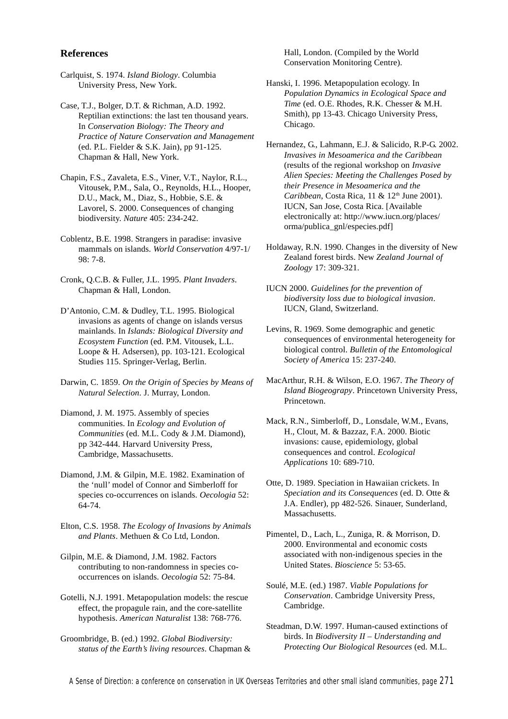### **References**

- Carlquist, S. 1974. *Island Biology*. Columbia University Press, New York.
- Case, T.J., Bolger, D.T. & Richman, A.D. 1992. Reptilian extinctions: the last ten thousand years. In *Conservation Biology: The Theory and Practice of Nature Conservation and Management* (ed. P.L. Fielder & S.K. Jain), pp 91-125. Chapman & Hall, New York.
- Chapin, F.S., Zavaleta, E.S., Viner, V.T., Naylor, R.L., Vitousek, P.M., Sala, O., Reynolds, H.L., Hooper, D.U., Mack, M., Diaz, S., Hobbie, S.E. & Lavorel, S. 2000. Consequences of changing biodiversity. *Nature* 405: 234-242.
- Coblentz, B.E. 1998. Strangers in paradise: invasive mammals on islands. *World Conservation* 4/97-1/ 98: 7-8.
- Cronk, Q.C.B. & Fuller, J.L. 1995. *Plant Invaders*. Chapman & Hall, London.
- D'Antonio, C.M. & Dudley, T.L. 1995. Biological invasions as agents of change on islands versus mainlands. In *Islands: Biological Diversity and Ecosystem Function* (ed. P.M. Vitousek, L.L. Loope & H. Adsersen), pp. 103-121. Ecological Studies 115. Springer-Verlag, Berlin.
- Darwin, C. 1859. *On the Origin of Species by Means of Natural Selection*. J. Murray, London.
- Diamond, J. M. 1975. Assembly of species communities. In *Ecology and Evolution of Communities* (ed. M.L. Cody & J.M. Diamond), pp 342-444. Harvard University Press, Cambridge, Massachusetts.
- Diamond, J.M. & Gilpin, M.E. 1982. Examination of the 'null' model of Connor and Simberloff for species co-occurrences on islands. *Oecologia* 52: 64-74.
- Elton, C.S. 1958. *The Ecology of Invasions by Animals and Plants*. Methuen & Co Ltd, London.
- Gilpin, M.E. & Diamond, J.M. 1982. Factors contributing to non-randomness in species cooccurrences on islands. *Oecologia* 52: 75-84.
- Gotelli, N.J. 1991. Metapopulation models: the rescue effect, the propagule rain, and the core-satellite hypothesis. *American Naturalist* 138: 768-776.
- Groombridge, B. (ed.) 1992. *Global Biodiversity: status of the Earth's living resources*. Chapman &

Hall, London. (Compiled by the World Conservation Monitoring Centre).

- Hanski, I. 1996. Metapopulation ecology. In *Population Dynamics in Ecological Space and Time* (ed. O.E. Rhodes, R.K. Chesser & M.H. Smith), pp 13-43. Chicago University Press, Chicago.
- Hernandez, G., Lahmann, E.J. & Salicido, R.P-G. 2002. *Invasives in Mesoamerica and the Caribbean* (results of the regional workshop on *Invasive Alien Species: Meeting the Challenges Posed by their Presence in Mesoamerica and the Caribbean*, Costa Rica, 11 & 12<sup>th</sup> June 2001). IUCN, San Jose, Costa Rica. [Available electronically at: http://www.iucn.org/places/ orma/publica\_gnl/especies.pdf]
- Holdaway, R.N. 1990. Changes in the diversity of New Zealand forest birds. New *Zealand Journal of Zoology* 17: 309-321.
- IUCN 2000. *Guidelines for the prevention of biodiversity loss due to biological invasion*. IUCN, Gland, Switzerland.
- Levins, R. 1969. Some demographic and genetic consequences of environmental heterogeneity for biological control. *Bulletin of the Entomological Society of America* 15: 237-240.
- MacArthur, R.H. & Wilson, E.O. 1967. *The Theory of Island Biogeograpy*. Princetown University Press, Princetown.
- Mack, R.N., Simberloff, D., Lonsdale, W.M., Evans, H., Clout, M. & Bazzaz, F.A. 2000. Biotic invasions: cause, epidemiology, global consequences and control. *Ecological Applications* 10: 689-710.
- Otte, D. 1989. Speciation in Hawaiian crickets. In *Speciation and its Consequences* (ed. D. Otte & J.A. Endler), pp 482-526. Sinauer, Sunderland, Massachusetts.
- Pimentel, D., Lach, L., Zuniga, R. & Morrison, D. 2000. Environmental and economic costs associated with non-indigenous species in the United States. *Bioscience* 5: 53-65.
- Soulé, M.E. (ed.) 1987. *Viable Populations for Conservation*. Cambridge University Press, Cambridge.
- Steadman, D.W. 1997. Human-caused extinctions of birds. In *Biodiversity II – Understanding and Protecting Our Biological Resources* (ed. M.L.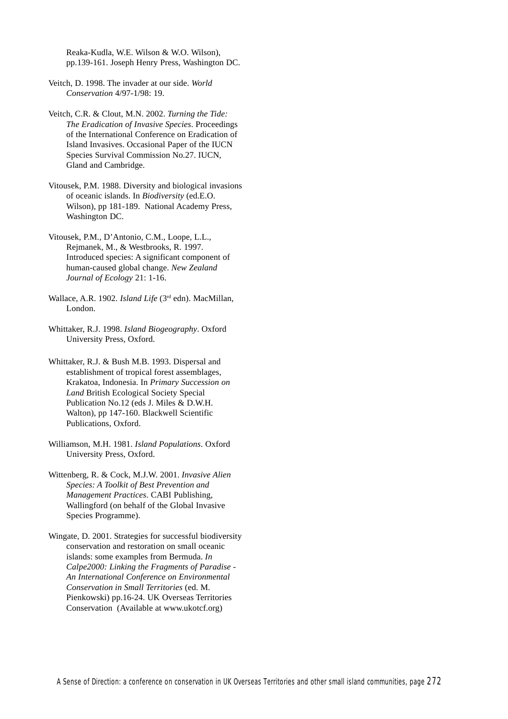Reaka-Kudla, W.E. Wilson & W.O. Wilson), pp.139-161. Joseph Henry Press, Washington DC.

Veitch, D. 1998. The invader at our side. *World Conservation* 4/97-1/98: 19.

Veitch, C.R. & Clout, M.N. 2002. *Turning the Tide: The Eradication of Invasive Species*. Proceedings of the International Conference on Eradication of Island Invasives. Occasional Paper of the IUCN Species Survival Commission No.27. IUCN, Gland and Cambridge.

Vitousek, P.M. 1988. Diversity and biological invasions of oceanic islands. In *Biodiversity* (ed.E.O. Wilson), pp 181-189. National Academy Press, Washington DC.

Vitousek, P.M., D'Antonio, C.M., Loope, L.L., Rejmanek, M., & Westbrooks, R. 1997. Introduced species: A significant component of human-caused global change. *New Zealand Journal of Ecology* 21: 1-16.

Wallace, A.R. 1902. *Island Life* (3rd edn). MacMillan, London.

Whittaker, R.J. 1998. *Island Biogeography*. Oxford University Press, Oxford.

Whittaker, R.J. & Bush M.B. 1993. Dispersal and establishment of tropical forest assemblages, Krakatoa, Indonesia. In *Primary Succession on Land* British Ecological Society Special Publication No.12 (eds J. Miles & D.W.H. Walton), pp 147-160. Blackwell Scientific Publications, Oxford.

Williamson, M.H. 1981. *Island Populations*. Oxford University Press, Oxford.

Wittenberg, R. & Cock, M.J.W. 2001. *Invasive Alien Species: A Toolkit of Best Prevention and Management Practices*. CABI Publishing, Wallingford (on behalf of the Global Invasive Species Programme).

Wingate, D. 2001. Strategies for successful biodiversity conservation and restoration on small oceanic islands: some examples from Bermuda. *In Calpe2000: Linking the Fragments of Paradise - An International Conference on Environmental Conservation in Small Territories* (ed. M. Pienkowski) pp.16-24. UK Overseas Territories Conservation (Available at www.ukotcf.org)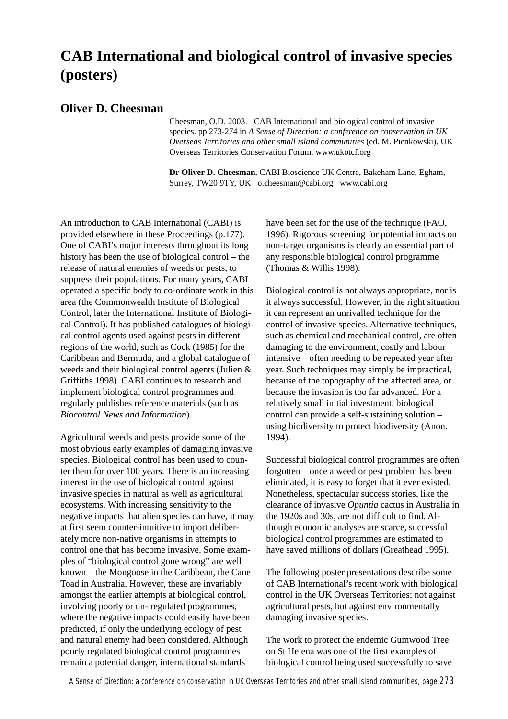### **CAB International and biological control of invasive species (posters)**

### **Oliver D. Cheesman**

Cheesman, O.D. 2003. CAB International and biological control of invasive species. pp 273-274 in *A Sense of Direction: a conference on conservation in UK Overseas Territories and other small island communities* (ed. M. Pienkowski). UK Overseas Territories Conservation Forum, www.ukotcf.org

**Dr Oliver D. Cheesman**, CABI Bioscience UK Centre, Bakeham Lane, Egham, Surrey, TW20 9TY, UK o.cheesman@cabi.org www.cabi.org

An introduction to CAB International (CABI) is provided elsewhere in these Proceedings (p.177). One of CABI's major interests throughout its long history has been the use of biological control – the release of natural enemies of weeds or pests, to suppress their populations. For many years, CABI operated a specific body to co-ordinate work in this area (the Commonwealth Institute of Biological Control, later the International Institute of Biological Control). It has published catalogues of biological control agents used against pests in different regions of the world, such as Cock (1985) for the Caribbean and Bermuda, and a global catalogue of weeds and their biological control agents (Julien & Griffiths 1998). CABI continues to research and implement biological control programmes and regularly publishes reference materials (such as *Biocontrol News and Information*).

Agricultural weeds and pests provide some of the most obvious early examples of damaging invasive species. Biological control has been used to counter them for over 100 years. There is an increasing interest in the use of biological control against invasive species in natural as well as agricultural ecosystems. With increasing sensitivity to the negative impacts that alien species can have, it may at first seem counter-intuitive to import deliberately more non-native organisms in attempts to control one that has become invasive. Some examples of "biological control gone wrong" are well known – the Mongoose in the Caribbean, the Cane Toad in Australia. However, these are invariably amongst the earlier attempts at biological control, involving poorly or un- regulated programmes, where the negative impacts could easily have been predicted, if only the underlying ecology of pest and natural enemy had been considered. Although poorly regulated biological control programmes remain a potential danger, international standards

have been set for the use of the technique (FAO, 1996). Rigorous screening for potential impacts on non-target organisms is clearly an essential part of any responsible biological control programme (Thomas & Willis 1998).

Biological control is not always appropriate, nor is it always successful. However, in the right situation it can represent an unrivalled technique for the control of invasive species. Alternative techniques, such as chemical and mechanical control, are often damaging to the environment, costly and labour intensive – often needing to be repeated year after year. Such techniques may simply be impractical, because of the topography of the affected area, or because the invasion is too far advanced. For a relatively small initial investment, biological control can provide a self-sustaining solution – using biodiversity to protect biodiversity (Anon. 1994).

Successful biological control programmes are often forgotten – once a weed or pest problem has been eliminated, it is easy to forget that it ever existed. Nonetheless, spectacular success stories, like the clearance of invasive *Opuntia* cactus in Australia in the 1920s and 30s, are not difficult to find. Although economic analyses are scarce, successful biological control programmes are estimated to have saved millions of dollars (Greathead 1995).

The following poster presentations describe some of CAB International's recent work with biological control in the UK Overseas Territories; not against agricultural pests, but against environmentally damaging invasive species.

The work to protect the endemic Gumwood Tree on St Helena was one of the first examples of biological control being used successfully to save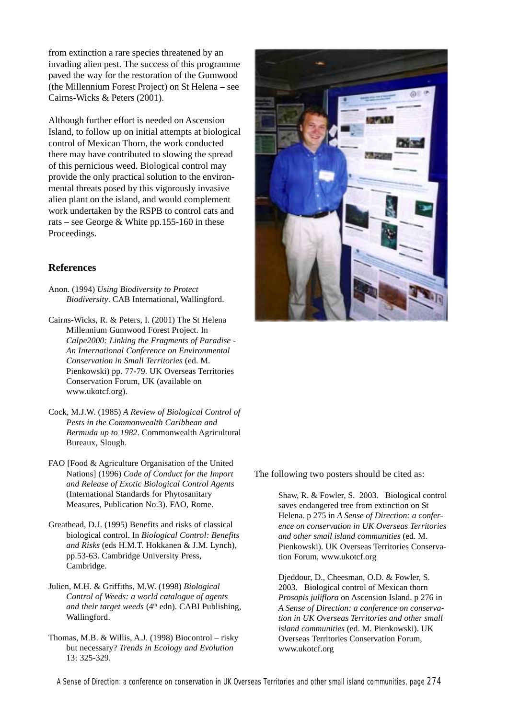from extinction a rare species threatened by an invading alien pest. The success of this programme paved the way for the restoration of the Gumwood (the Millennium Forest Project) on St Helena – see Cairns-Wicks & Peters (2001).

Although further effort is needed on Ascension Island, to follow up on initial attempts at biological control of Mexican Thorn, the work conducted there may have contributed to slowing the spread of this pernicious weed. Biological control may provide the only practical solution to the environmental threats posed by this vigorously invasive alien plant on the island, and would complement work undertaken by the RSPB to control cats and rats – see George & White pp.155-160 in these Proceedings.

### **References**

- Anon. (1994) *Using Biodiversity to Protect Biodiversity*. CAB International, Wallingford.
- Cairns-Wicks, R. & Peters, I. (2001) The St Helena Millennium Gumwood Forest Project. In *Calpe2000: Linking the Fragments of Paradise - An International Conference on Environmental Conservation in Small Territories* (ed. M. Pienkowski) pp. 77-79. UK Overseas Territories Conservation Forum, UK (available on www.ukotcf.org).
- Cock, M.J.W. (1985) *A Review of Biological Control of Pests in the Commonwealth Caribbean and Bermuda up to 1982*. Commonwealth Agricultural Bureaux, Slough.
- FAO [Food & Agriculture Organisation of the United Nations] (1996) *Code of Conduct for the Import and Release of Exotic Biological Control Agents* (International Standards for Phytosanitary Measures, Publication No.3). FAO, Rome.
- Greathead, D.J. (1995) Benefits and risks of classical biological control. In *Biological Control: Benefits and Risks* (eds H.M.T. Hokkanen & J.M. Lynch), pp.53-63. Cambridge University Press, Cambridge.
- Julien, M.H. & Griffiths, M.W. (1998) *Biological Control of Weeds: a world catalogue of agents* and their target weeds (4<sup>th</sup> edn). CABI Publishing, Wallingford.
- Thomas, M.B. & Willis, A.J. (1998) Biocontrol risky but necessary? *Trends in Ecology and Evolution* 13: 325-329.



The following two posters should be cited as:

Shaw, R. & Fowler, S. 2003. Biological control saves endangered tree from extinction on St Helena. p 275 in *A Sense of Direction: a conference on conservation in UK Overseas Territories and other small island communities* (ed. M. Pienkowski). UK Overseas Territories Conservation Forum, www.ukotcf.org

Djeddour, D., Cheesman, O.D. & Fowler, S. 2003. Biological control of Mexican thorn *Prosopis juliflora* on Ascension Island. p 276 in *A Sense of Direction: a conference on conservation in UK Overseas Territories and other small island communities* (ed. M. Pienkowski). UK Overseas Territories Conservation Forum, www.ukotcf.org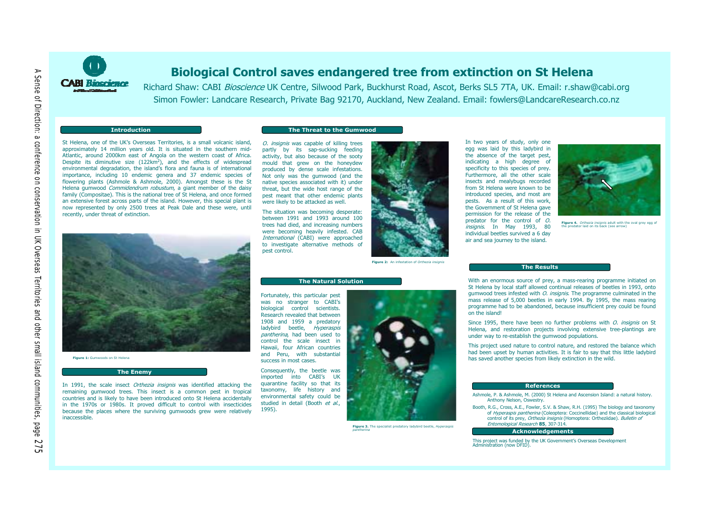

### **Biological Control saves endangered tree from extinction on St Helena**

Richard Shaw: CABI Bioscience UK Centre, Silwood Park, Buckhurst Road, Ascot, Berks SL5 7TA, UK. Email: r.shaw@cabi.org Simon Fowler: Landcare Research, Private Bag 92170, Auckland, New Zealand, Email: fowlers@LandcareResearch.co.nz

### **Introduction**

### The Threat to the Gumwood

St Helena, one of the UK's Overseas Territories, is a small volcanic island. approximately 14 million years old. It is situated in the southern mid-Atlantic, around 2000km east of Angola on the western coast of Africa. Despite its diminutive size (122km<sup>2</sup>), and the effects of widespread environmental degradation, the island's flora and fauna is of international importance, including 10 endemic genera and 37 endemic species of flowering plants (Ashmole & Ashmole, 2000). Amongst these is the St Helena gumwood *Commidendrum robustum*, a giant member of the daisy family (Compositae). This is the national tree of St Helena, and once formed an extensive forest across parts of the island. However, this special plant is now represented by only 2500 trees at Peak Dale and these were, until recently, under threat of extinction.

Figure 1: Gumwoods on St Helena

### **The Enemy**

In 1991, the scale insect Orthezia insignis was identified attacking the remaining gumwood trees. This insect is a common pest in tropical countries and is likely to have been introduced onto St Helena accidentally in the 1970s or 1980s. It proved difficult to control with insecticides because the places where the surviving gumwoods grew were relatively inaccessible.

O. insignis was capable of killing trees partly by its sap-sucking feeding activity, but also because of the sooty mould that grew on the honeydew produced by dense scale infestations. Not only was the gumwood (and the native species associated with it) under threat, but the wide host range of the pest meant that other endemic plants were likely to be attacked as well.

The situation was becoming desperate: between 1991 and 1993 around 100 trees had died, and increasing numbers were becoming heavily infested. CAB International (CABI) were approached to investigate alternative methods of pest control.



Figure 2: An infectation of Octhoria incigni

### **The Natural Solution**

Fortunately, this particular pest was no stranger to CABI's biological control scientists. Research revealed that between 1908 and 1959 a predatory ladybird beetle, Hyperaspis pantherina, had been used to control the scale insect in Hawaii, four African countries and Peru, with substantial success in most cases.

Consequently, the beetle was imported into CABI's UK quarantine facility so that its taxonomy, life history and environmental safety could be studied in detail (Booth et al., 1995).



Figure 3. The specialist predatory ladybird beetle, Hyperaspis





Figure 4. Orthezia insignis adult with the oval grey egg of predator laid on its back (see arrow

### The Results

With an enormous source of prey, a mass-rearing programme initiated on St Helena by local staff allowed continual releases of beetles in 1993, onto gumwood trees infested with *O. insignis*. The programme culminated in the mass release of 5,000 beetles in early 1994. By 1995, the mass rearing programme had to be abandoned, because insufficient prey could be found on the island

Since 1995, there have been no further problems with *O. insignis* on St Helena, and restoration projects involving extensive tree-plantings are under way to re-establish the gumwood populations.

This project used nature to control nature, and restored the balance which had been upset by human activities. It is fair to say that this little ladybird has saved another species from likely extinction in the wild.

### **References**

- Ashmole, P. & Ashmole, M. (2000) St Helena and Ascension Island: a natural history. Anthony Nelson, Oswestry.
- Booth, R.G., Cross, A.E., Fowler, S.V. & Shaw, R.H. (1995) The biology and taxonomy of Hyperaspis pantherina (Coleoptera: Coccinellidae) and the classical biological control of its prev. Orthezia insignis (Homoptera: Ortheziidae). Bulletin of Entomological Research 85, 307-314.

**Acknowledgements** 

This project was funded by the UK Government's Overseas Development Administration (now DFID)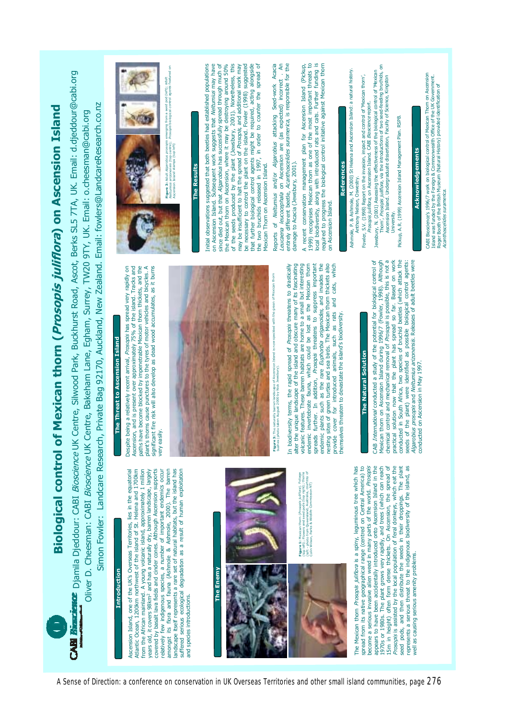**Biological control of Mexican thorn (Prosopis juliflora) on Ascension Island** 

Buckhurst Road, Ascot, Berks SL5 7TA, UK. Email: d.djeddour@cabi.org Simon Fowler: Landcare Research, Private Bag 92170, Auckland, New Zealand. Email: fowlers@LandcareResearch.co.nz Diver D. Cheesman: CABI Bioscience UK Centre, Bakeham Lane, Egham, Surrey, TW20 9TY, UK. Email: o.cheesman@cabi.org CR Djamila Djeddour: CABI Bioscience UK Centre, Silwood Park,

## **Introduction**

陸 野さ

lies in the equatorial Atlantic Ocean, 1200km northwest of the island of St. Helena and 1700km from the African mainland. A young volcanic island, approximately 1 million it covers 98km<sup>2</sup> and has a naturally dry, barren landscape, largely Although Ascension supports relatively few indigenous species, a number of important endemics occur amongst its flora and fauna (Ashmole & Ashmole, 2000). The barren landscape itself represents a rare set of natural habitats, but the island has suffered serious ecological degradation as a result of human exploitation one of the UK's Overseas Territories, covered by basalt lava fields and cinder cones. and species introductions. Ascension Island, years old,

## The Enemy



**Figure 1:** Mexican thorn (*Prosopis julifora*). Foliage<br>(top left); Flowers and seed pods (top right); thorns<br>(clin wilson franks & Wildlife Commission Writesy of<br>Colin Wilson franks & Wildlife Commission Wri



become a serious invasive alien weed in many parts of the world. Prosopis seed pods, and then distribute the seeds in their droppings. The plant<br>represents a serious threat to the indigenous biodiversity of the island, as<br>well as causing serious amenity problems. The Mexican thorn *Prosopis juilflora* is a spiny, leguminous tree which has<br>spread from its native geographical range (centred on Central America) to appears to have been accidentally introduced onto Ascension Island in the 15m in height) often form dense thickets. On Ascension, the spread of Prosopis is assisted by the local population of feral donkeys, which eat the The plant grows very rapidly, and trees (which can reach 970s or 1980s.

# The Threat to Ascension Island

paths have become blocked by impenetrable Mexican thorn thickets, and the blant's thorns cause punctures to the tyres of motor vehicles and bicycles. A significant fire risk will also develop as dead wood accumulates, as it burns Ascension, and is present over approximately 75% of the island. Tracks and Despite being a relatively recent arrival, Prosopis has spread very rapidly on very easily



ith the **igure 3:** The naturally barren landscape of the surface of the surface of the surface of the surface of the surface of the surface of the surface of the surface of the surface of the surface of the surface of the surface

endemic plants such as the rare Euphorbia origanoides, and invades the nesting sites of green turtles and sea birds. The Mexican thorn thickets also provide cover for introduced animals, such as rats and cats, which In biodiversity terms, the rapid spread of *Prosopis* threatens to drastically<br>alter the unique landscape of the island and obscure many of its fascinating endemic invertebrate fauna, which could be lost as the Mexican thorn volcanic features. These barren habitats are home to a small but interesting suppress important such as rats and hemselves threaten to devastate the island's biodiversity. spreads further. In addition, Prosopis threatens to for introduced animals, cover provide

## **The Natural Solution**

seeds of the plant) were identified as possible biological control agents:<br>*Algarobius prosopis* and *Neltumius arizonensis*. Releases of adult beetles were<br>conducted on Ascension in May 1997. CAB International conducted a study of the potential for biological control of chemical control and mechanical removal of Prosopis is possible, this is not a Mexican thorn on Ascension Island during 1996/7 (Fowler, 1998). Although solution now that the plant has spread so far. Based on work conducted in South Africa, two species of bruchid beetles (which attack the practical:



*garobius prosopis* e<br>asís (top centre); P<br>amps (top left) **Figure 3: Adult Algari**<br>Neltumius arizonensis<br>Ascension Island domini

### The Results

be necessary to control the plant on the island. Fowler (1998) suggested<br>that further biological control agents might be required, acting alongside the Mexican thorn on Ascension, where it may be destroying around 50% of the seeds produced by the plant (Jewsbury, 2001). Nonetheless, this the two bruchids released in 1997, in order to counter the spread of Initial observations suggested that both beetles had established populations on Ascension Island. Subsequent work suggests that Neltumius may have since died out, but that Algarobius has successfully spread through much of may be insufficient to halt the spread of Prosopis, and additional work may Mexican Thorn on Ascension Island.

un Ascension are (as expected) incorrect. An Acanthoscelides suramerica, is responsible for the Algarobius attacking Seed-work Acacia Leucaena leucocephala on Ascension are (as expected) incrrect<br>entirely different beetle, *Acanthoscelides suramerica*. is responsible for damage to Acacia (Jewsbury, 2001). Reports of Nelturnius and/or

A recent conservation management plan for Ascension Island (Pickup,<br>1999) recognises Mexican thorn as one of the most important threats to<br>local biodiversity, along with introduced rats and cats. Further funding is equired to progress the biological control initiative against Mexican thorn on Ascension Island.

# References

Ashmole, P. & Ashmole, M. (2000) St Helena and Ascension Island: a natural history. Anthony Nelson, Oswestry.

impact and control of 'Mexican thorn', **Bioscience report** Fowler, S.V. (1998) Report on the invasion, impact<br>Prosopis juliflora, on Ascension Island. CABI

Jewsbury, N. (2001) Assessing the effectiveness of the biological control of 'Mexican<br>Thorn', *Prosopis juliflor*a, via the introductions of two seed-feeding bruchids, on Ascension Island. Undergraduate dissertation, Faculty of Science, Kingston University.

Pickup, A.R. (1999) Ascension Island Management Plan. RSPB

## Acknowledgements

CABI Bioscience's 1996/7 work on biological control of Mexican Thorn on Ascension<br>Island was funded by the Foreign & Commonwealth Office of the UK Government.<br>*Acanthoscelides suremenica*.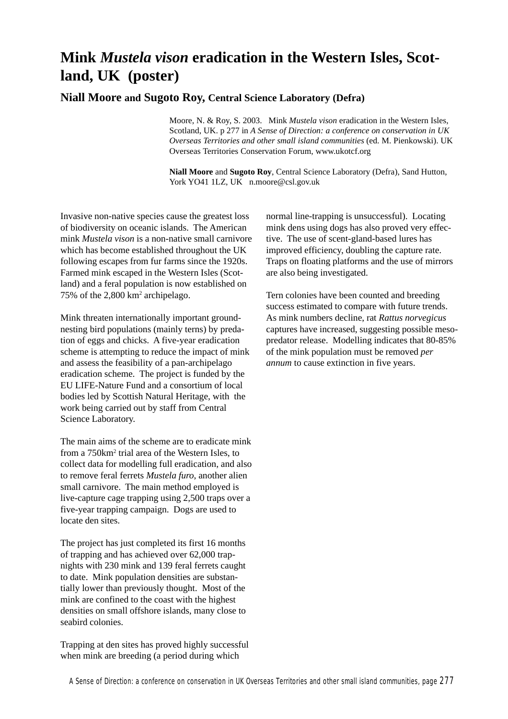### **Mink** *Mustela vison* **eradication in the Western Isles, Scotland, UK (poster)**

### **Niall Moore and Sugoto Roy, Central Science Laboratory (Defra)**

Moore, N. & Roy, S. 2003. Mink *Mustela vison* eradication in the Western Isles, Scotland, UK. p 277 in *A Sense of Direction: a conference on conservation in UK Overseas Territories and other small island communities* (ed. M. Pienkowski). UK Overseas Territories Conservation Forum, www.ukotcf.org

**Niall Moore** and **Sugoto Roy**, Central Science Laboratory (Defra), Sand Hutton, York YO41 1LZ, UK n.moore@csl.gov.uk

Invasive non-native species cause the greatest loss of biodiversity on oceanic islands. The American mink *Mustela vison* is a non-native small carnivore which has become established throughout the UK following escapes from fur farms since the 1920s. Farmed mink escaped in the Western Isles (Scotland) and a feral population is now established on 75% of the 2,800 km2 archipelago.

Mink threaten internationally important groundnesting bird populations (mainly terns) by predation of eggs and chicks. A five-year eradication scheme is attempting to reduce the impact of mink and assess the feasibility of a pan-archipelago eradication scheme. The project is funded by the EU LIFE-Nature Fund and a consortium of local bodies led by Scottish Natural Heritage, with the work being carried out by staff from Central Science Laboratory.

The main aims of the scheme are to eradicate mink from a 750km<sup>2</sup> trial area of the Western Isles, to collect data for modelling full eradication, and also to remove feral ferrets *Mustela furo*, another alien small carnivore. The main method employed is live-capture cage trapping using 2,500 traps over a five-year trapping campaign. Dogs are used to locate den sites.

The project has just completed its first 16 months of trapping and has achieved over 62,000 trapnights with 230 mink and 139 feral ferrets caught to date. Mink population densities are substantially lower than previously thought. Most of the mink are confined to the coast with the highest densities on small offshore islands, many close to seabird colonies.

Trapping at den sites has proved highly successful when mink are breeding (a period during which

normal line-trapping is unsuccessful). Locating mink dens using dogs has also proved very effective. The use of scent-gland-based lures has improved efficiency, doubling the capture rate. Traps on floating platforms and the use of mirrors are also being investigated.

Tern colonies have been counted and breeding success estimated to compare with future trends. As mink numbers decline, rat *Rattus norvegicus* captures have increased, suggesting possible mesopredator release. Modelling indicates that 80-85% of the mink population must be removed *per annum* to cause extinction in five years.